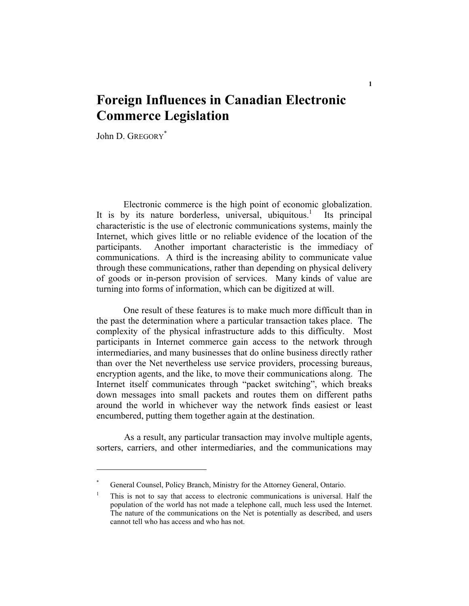## **Foreign Influences in Canadian Electronic Commerce Legislation**

John D. GREGORY<sup>\*</sup>

 Electronic commerce is the high point of economic globalization. It is by its nature borderless, universal, ubiquitous.<sup>1</sup> Its principal characteristic is the use of electronic communications systems, mainly the Internet, which gives little or no reliable evidence of the location of the participants. Another important characteristic is the immediacy of communications. A third is the increasing ability to communicate value through these communications, rather than depending on physical delivery of goods or in-person provision of services. Many kinds of value are turning into forms of information, which can be digitized at will.

 One result of these features is to make much more difficult than in the past the determination where a particular transaction takes place. The complexity of the physical infrastructure adds to this difficulty. Most participants in Internet commerce gain access to the network through intermediaries, and many businesses that do online business directly rather than over the Net nevertheless use service providers, processing bureaus, encryption agents, and the like, to move their communications along. The Internet itself communicates through "packet switching", which breaks down messages into small packets and routes them on different paths around the world in whichever way the network finds easiest or least encumbered, putting them together again at the destination.

As a result, any particular transaction may involve multiple agents, sorters, carriers, and other intermediaries, and the communications may

<sup>\*</sup> General Counsel, Policy Branch, Ministry for the Attorney General, Ontario.

<sup>1</sup> This is not to say that access to electronic communications is universal. Half the population of the world has not made a telephone call, much less used the Internet. The nature of the communications on the Net is potentially as described, and users cannot tell who has access and who has not.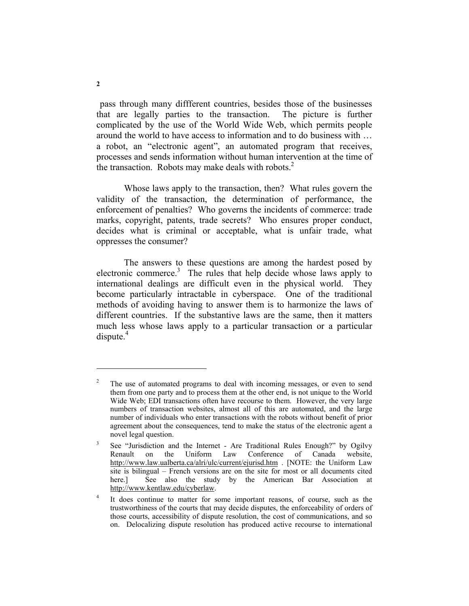pass through many diffferent countries, besides those of the businesses that are legally parties to the transaction. The picture is further complicated by the use of the World Wide Web, which permits people around the world to have access to information and to do business with … a robot, an "electronic agent", an automated program that receives, processes and sends information without human intervention at the time of the transaction. Robots may make deals with robots. $2^2$ 

Whose laws apply to the transaction, then? What rules govern the validity of the transaction, the determination of performance, the enforcement of penalties? Who governs the incidents of commerce: trade marks, copyright, patents, trade secrets? Who ensures proper conduct, decides what is criminal or acceptable, what is unfair trade, what oppresses the consumer?

The answers to these questions are among the hardest posed by electronic commerce.<sup>3</sup> The rules that help decide whose laws apply to international dealings are difficult even in the physical world. They become particularly intractable in cyberspace. One of the traditional methods of avoiding having to answer them is to harmonize the laws of different countries. If the substantive laws are the same, then it matters much less whose laws apply to a particular transaction or a particular  $dispute.<sup>4</sup>$ 

<sup>2</sup> The use of automated programs to deal with incoming messages, or even to send them from one party and to process them at the other end, is not unique to the World Wide Web; EDI transactions often have recourse to them. However, the very large numbers of transaction websites, almost all of this are automated, and the large number of individuals who enter transactions with the robots without benefit of prior agreement about the consequences, tend to make the status of the electronic agent a novel legal question.

<sup>3</sup> See "Jurisdiction and the Internet - Are Traditional Rules Enough?" by Ogilvy Renault on the Uniform Law Conference of Canada website, http://www.law.ualberta.ca/alri/ulc/current/ejurisd.htm . [NOTE: the Uniform Law site is bilingual – French versions are on the site for most or all documents cited here.] See also the study by the American Bar Association at http://www.kentlaw.edu/cyberlaw.

<sup>4</sup> It does continue to matter for some important reasons, of course, such as the trustworthiness of the courts that may decide disputes, the enforceability of orders of those courts, accessibility of dispute resolution, the cost of communications, and so on. Delocalizing dispute resolution has produced active recourse to international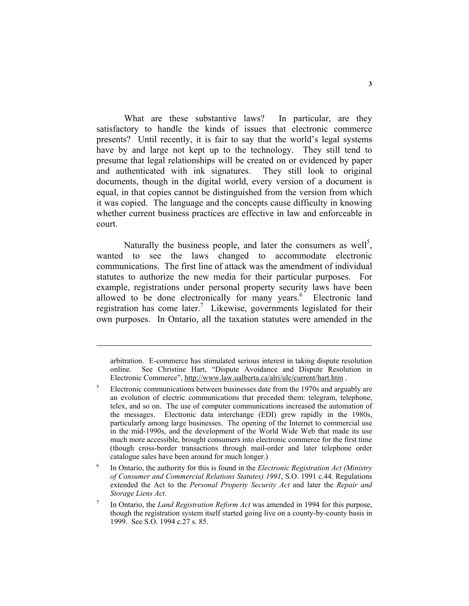What are these substantive laws? In particular, are they satisfactory to handle the kinds of issues that electronic commerce presents? Until recently, it is fair to say that the world's legal systems have by and large not kept up to the technology. They still tend to presume that legal relationships will be created on or evidenced by paper and authenticated with ink signatures. They still look to original documents, though in the digital world, every version of a document is equal, in that copies cannot be distinguished from the version from which it was copied. The language and the concepts cause difficulty in knowing whether current business practices are effective in law and enforceable in court.

Naturally the business people, and later the consumers as well<sup>5</sup>, wanted to see the laws changed to accommodate electronic communications. The first line of attack was the amendment of individual statutes to authorize the new media for their particular purposes. For example, registrations under personal property security laws have been allowed to be done electronically for many years.<sup>6</sup> Electronic land registration has come later.<sup>7</sup> Likewise, governments legislated for their own purposes. In Ontario, all the taxation statutes were amended in the

arbitration. E-commerce has stimulated serious interest in taking dispute resolution online. See Christine Hart, "Dispute Avoidance and Dispute Resolution in Electronic Commerce", http://www.law.ualberta.ca/alri/ulc/current/hart.htm .

<sup>5</sup> Electronic communications between businesses date from the 1970s and arguably are an evolution of electric communications that preceded them: telegram, telephone, telex, and so on. The use of computer communications increased the automation of the messages. Electronic data interchange (EDI) grew rapidly in the 1980s, particularly among large businesses. The opening of the Internet to commercial use in the mid-1990s, and the development of the World Wide Web that made its use much more accessible, brought consumers into electronic commerce for the first time (though cross-border transactions through mail-order and later telephone order catalogue sales have been around for much longer.)

<sup>6</sup> In Ontario, the authority for this is found in the *Electronic Registration Act (Ministry of Consumer and Commercial Relations Statutes) 1991*, S.O. 1991 c.44. Regulations extended the Act to the *Personal Property Security Act* and later the *Repair and Storage Liens Act*.

<sup>7</sup> In Ontario, the *Land Registration Reform Act* was amended in 1994 for this purpose, though the registration system itself started going live on a county-by-county basis in 1999. See S.O. 1994 c.27 s. 85.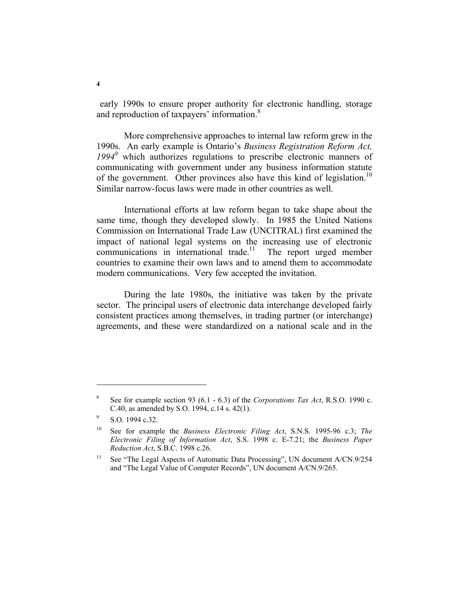early 1990s to ensure proper authority for electronic handling, storage and reproduction of taxpayers' information.<sup>8</sup>

More comprehensive approaches to internal law reform grew in the 1990s. An early example is Ontario's *Business Registration Reform Act,*  1994<sup>9</sup> which authorizes regulations to prescribe electronic manners of communicating with government under any business information statute of the government. Other provinces also have this kind of legislation.<sup>10</sup> Similar narrow-focus laws were made in other countries as well.

International efforts at law reform began to take shape about the same time, though they developed slowly. In 1985 the United Nations Commission on International Trade Law (UNCITRAL) first examined the impact of national legal systems on the increasing use of electronic communications in international trade.<sup>11</sup> The report urged member countries to examine their own laws and to amend them to accommodate modern communications. Very few accepted the invitation.

During the late 1980s, the initiative was taken by the private sector. The principal users of electronic data interchange developed fairly consistent practices among themselves, in trading partner (or interchange) agreements, and these were standardized on a national scale and in the

<sup>8</sup> See for example section 93 (6.1 - 6.3) of the *Corporations Tax Act*, R.S.O. 1990 c. C.40, as amended by S.O. 1994, c.14 s. 42(1).

<sup>9</sup> S.O. 1994 c.32.

<sup>10</sup> See for example the *Business Electronic Filing Act*, S.N.S. 1995-96 c.3; *The Electronic Filing of Information Act*, S.S. 1998 c. E-7.21; the *Business Paper Reduction Act*, S.B.C. 1998 c.26.

<sup>&</sup>lt;sup>11</sup> See "The Legal Aspects of Automatic Data Processing", UN document A/CN.9/254 and "The Legal Value of Computer Records", UN document A/CN.9/265.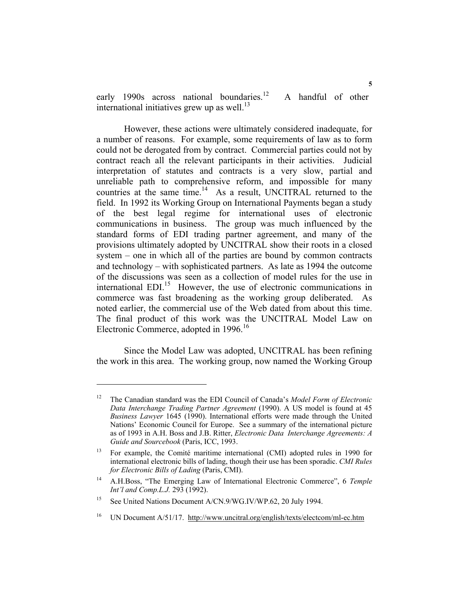early 1990s across national boundaries.<sup>12</sup> A handful of other international initiatives grew up as well.<sup>13</sup>

However, these actions were ultimately considered inadequate, for a number of reasons. For example, some requirements of law as to form could not be derogated from by contract. Commercial parties could not by contract reach all the relevant participants in their activities. Judicial interpretation of statutes and contracts is a very slow, partial and unreliable path to comprehensive reform, and impossible for many countries at the same time.<sup>14</sup> As a result, UNCITRAL returned to the field. In 1992 its Working Group on International Payments began a study of the best legal regime for international uses of electronic communications in business. The group was much influenced by the standard forms of EDI trading partner agreement, and many of the provisions ultimately adopted by UNCITRAL show their roots in a closed system – one in which all of the parties are bound by common contracts and technology – with sophisticated partners. As late as 1994 the outcome of the discussions was seen as a collection of model rules for the use in international  $EDI<sub>15</sub>$  However, the use of electronic communications in commerce was fast broadening as the working group deliberated. As noted earlier, the commercial use of the Web dated from about this time. The final product of this work was the UNCITRAL Model Law on Electronic Commerce, adopted in 1996.<sup>16</sup>

Since the Model Law was adopted, UNCITRAL has been refining the work in this area. The working group, now named the Working Group

<sup>12</sup> The Canadian standard was the EDI Council of Canada's *Model Form of Electronic Data Interchange Trading Partner Agreement* (1990). A US model is found at 45 *Business Lawyer* 1645 (1990). International efforts were made through the United Nations' Economic Council for Europe. See a summary of the international picture as of 1993 in A.H. Boss and J.B. Ritter, *Electronic Data Interchange Agreements: A Guide and Sourcebook* (Paris, ICC, 1993.

<sup>&</sup>lt;sup>13</sup> For example, the Comité maritime international (CMI) adopted rules in 1990 for international electronic bills of lading, though their use has been sporadic. *CMI Rules for Electronic Bills of Lading* (Paris, CMI).

<sup>14</sup> A.H.Boss, "The Emerging Law of International Electronic Commerce", 6 *Temple Int'l and Comp.L.J.* 293 (1992).

<sup>&</sup>lt;sup>15</sup> See United Nations Document A/CN.9/WG.IV/WP.62, 20 July 1994.

<sup>&</sup>lt;sup>16</sup> UN Document A/51/17. http://www.uncitral.org/english/texts/electcom/ml-ec.htm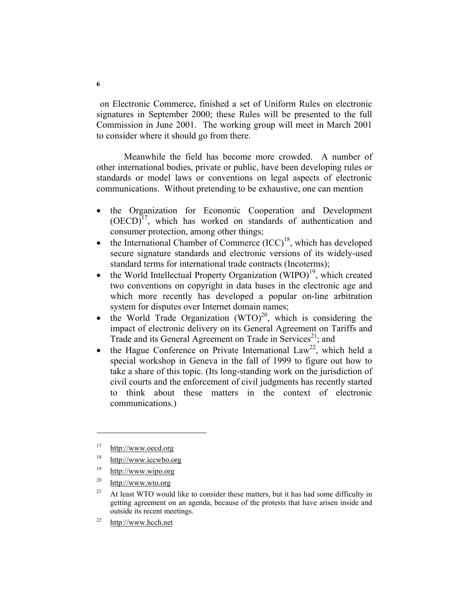on Electronic Commerce, finished a set of Uniform Rules on electronic signatures in September 2000; these Rules will be presented to the full Commission in June 2001. The working group will meet in March 2001 to consider where it should go from there.

Meanwhile the field has become more crowded. A number of other international bodies, private or public, have been developing rules or standards or model laws or conventions on legal aspects of electronic communications. Without pretending to be exhaustive, one can mention

- the Organization for Economic Cooperation and Development  $(OECD)<sup>17</sup>$ , which has worked on standards of authentication and consumer protection, among other things;
- the International Chamber of Commerce  $(ICC)^{18}$ , which has developed secure signature standards and electronic versions of its widely-used standard terms for international trade contracts (Incoterms);
- the World Intellectual Property Organization  $(WIDO)^{19}$ , which created two conventions on copyright in data bases in the electronic age and which more recently has developed a popular on-line arbitration system for disputes over Internet domain names;
- the World Trade Organization  $(WTO)^{20}$ , which is considering the impact of electronic delivery on its General Agreement on Tariffs and Trade and its General Agreement on Trade in Services<sup>21</sup>; and
- the Hague Conference on Private International  $Law^{22}$ , which held a special workshop in Geneva in the fall of 1999 to figure out how to take a share of this topic. (Its long-standing work on the jurisdiction of civil courts and the enforcement of civil judgments has recently started to think about these matters in the context of electronic communications.)

- <sup>19</sup> http://www.wipo.org
- 20 http://www.wto.org

22 http://www.hcch.net

<sup>17</sup> http://www.oecd.org

<sup>18</sup> http://www.iccwbo.org

<sup>&</sup>lt;sup>21</sup> At least WTO would like to consider these matters, but it has had some difficulty in getting agreement on an agenda, because of the protests that have arisen inside and outside its recent meetings.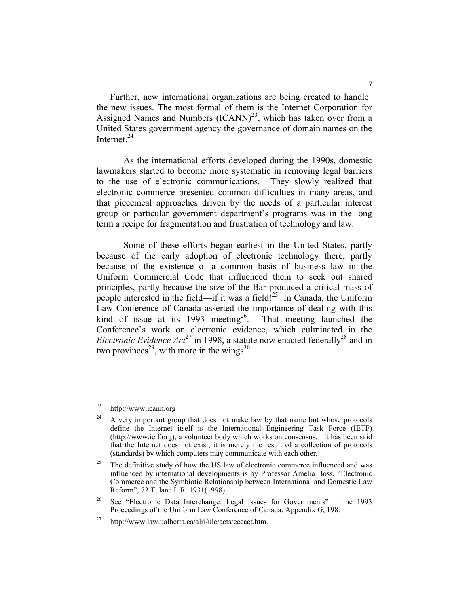Further, new international organizations are being created to handle the new issues. The most formal of them is the Internet Corporation for Assigned Names and Numbers  $(ICANN)^{23}$ , which has taken over from a United States government agency the governance of domain names on the Internet. $^{24}$ 

 As the international efforts developed during the 1990s, domestic lawmakers started to become more systematic in removing legal barriers to the use of electronic communications. They slowly realized that electronic commerce presented common difficulties in many areas, and that piecemeal approaches driven by the needs of a particular interest group or particular government department's programs was in the long term a recipe for fragmentation and frustration of technology and law.

 Some of these efforts began earliest in the United States, partly because of the early adoption of electronic technology there, partly because of the existence of a common basis of business law in the Uniform Commercial Code that influenced them to seek out shared principles, partly because the size of the Bar produced a critical mass of people interested in the field—if it was a field!<sup>25</sup> In Canada, the Uniform Law Conference of Canada asserted the importance of dealing with this kind of issue at its 1993 meeting<sup>26</sup>. That meeting launched the Conference's work on electronic evidence, which culminated in the *Electronic Evidence Act*<sup>27</sup> in 1998, a statute now enacted federally<sup>28</sup> and in two provinces<sup>29</sup>, with more in the wings<sup>30</sup>.

<sup>23</sup> http://www.icann.org

 $24$  A very important group that does not make law by that name but whose protocols define the Internet itself is the International Engineering Task Force (IETF) (http://www.ietf.org), a volunteer body which works on consensus. It has been said that the Internet does not exist, it is merely the result of a collection of protocols (standards) by which computers may communicate with each other.

 $25$  The definitive study of how the US law of electronic commerce influenced and was influenced by international developments is by Professor Amelia Boss, "Electronic Commerce and the Symbiotic Relationship between International and Domestic Law Reform", 72 Tulane L.R. 1931(1998).

<sup>&</sup>lt;sup>26</sup> See "Electronic Data Interchange: Legal Issues for Governments" in the 1993 Proceedings of the Uniform Law Conference of Canada, Appendix G, 198.

 $27$  http://www.law.ualberta.ca/alri/ulc/acts/eeeact.htm.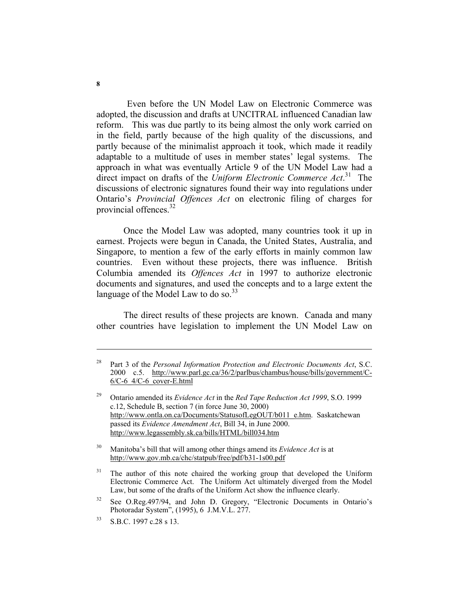Even before the UN Model Law on Electronic Commerce was adopted, the discussion and drafts at UNCITRAL influenced Canadian law reform. This was due partly to its being almost the only work carried on in the field, partly because of the high quality of the discussions, and partly because of the minimalist approach it took, which made it readily adaptable to a multitude of uses in member states' legal systems. The approach in what was eventually Article 9 of the UN Model Law had a direct impact on drafts of the *Uniform Electronic Commerce Act*.<sup>31</sup> The discussions of electronic signatures found their way into regulations under Ontario's *Provincial Offences Act* on electronic filing of charges for provincial offences. $32$ 

 Once the Model Law was adopted, many countries took it up in earnest. Projects were begun in Canada, the United States, Australia, and Singapore, to mention a few of the early efforts in mainly common law countries. Even without these projects, there was influence. British Columbia amended its *Offences Act* in 1997 to authorize electronic documents and signatures, and used the concepts and to a large extent the language of the Model Law to do so. $^{33}$ 

 The direct results of these projects are known. Canada and many other countries have legislation to implement the UN Model Law on

30 Manitoba's bill that will among other things amend its *Evidence Act* is at http://www.gov.mb.ca/chc/statpub/free/pdf/b31-1s00.pdf

<sup>28</sup> Part 3 of the *Personal Information Protection and Electronic Documents Act*, S.C. 2000 c.5. http://www.parl.gc.ca/36/2/parlbus/chambus/house/bills/government/C- $6/C-6$   $4/C-6$  cover-E.html

<sup>29</sup> Ontario amended its *Evidence Act* in the *Red Tape Reduction Act 1999*, S.O. 1999 c.12, Schedule B, section 7 (in force June 30, 2000) http://www.ontla.on.ca/Documents/StatusofLegOUT/b011\_e.htm. Saskatchewan passed its *Evidence Amendment Act*, Bill 34, in June 2000. http://www.legassembly.sk.ca/bills/HTML/bill034.htm

 $31$  The author of this note chaired the working group that developed the Uniform Electronic Commerce Act. The Uniform Act ultimately diverged from the Model Law, but some of the drafts of the Uniform Act show the influence clearly.

<sup>&</sup>lt;sup>32</sup> See O.Reg.497/94, and John D. Gregory, "Electronic Documents in Ontario's Photoradar System", (1995), 6 J.M.V.L. 277.

<sup>33</sup> S.B.C. 1997 c.28 s 13.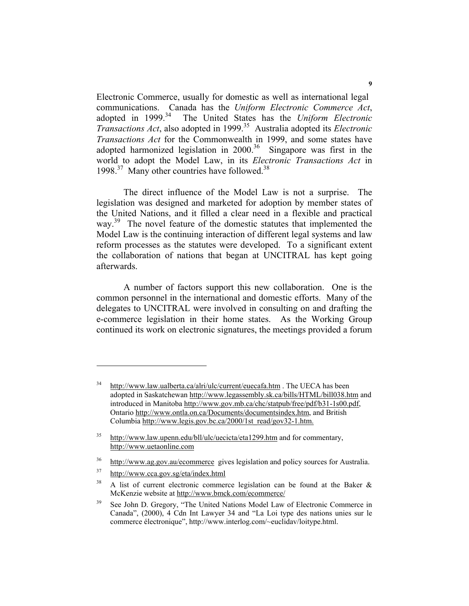Electronic Commerce, usually for domestic as well as international legal communications. Canada has the *Uniform Electronic Commerce Act*, The United States has the *Uniform Electronic Transactions Act*, also adopted in 1999.35 Australia adopted its *Electronic Transactions Act* for the Commonwealth in 1999, and some states have adopted harmonized legislation in  $2000$ .<sup>36</sup> Singapore was first in the world to adopt the Model Law, in its *Electronic Transactions Act* in 1998.<sup>37</sup> Many other countries have followed.<sup>38</sup>

 The direct influence of the Model Law is not a surprise. The legislation was designed and marketed for adoption by member states of the United Nations, and it filled a clear need in a flexible and practical way.<sup>39</sup> The novel feature of the domestic statutes that implemented the Model Law is the continuing interaction of different legal systems and law reform processes as the statutes were developed. To a significant extent the collaboration of nations that began at UNCITRAL has kept going afterwards.

 A number of factors support this new collaboration. One is the common personnel in the international and domestic efforts. Many of the delegates to UNCITRAL were involved in consulting on and drafting the e-commerce legislation in their home states. As the Working Group continued its work on electronic signatures, the meetings provided a forum

37 http://www.cca.gov.sg/eta/index.html

<sup>&</sup>lt;sup>34</sup> http://www.law.ualberta.ca/alri/ulc/current/euecafa.htm . The UECA has been adopted in Saskatchewan http://www.legassembly.sk.ca/bills/HTML/bill038.htm and introduced in Manitoba http://www.gov.mb.ca/chc/statpub/free/pdf/b31-1s00.pdf, Ontario http://www.ontla.on.ca/Documents/documentsindex.htm, and British Columbia http://www.legis.gov.bc.ca/2000/1st\_read/gov32-1.htm.

<sup>&</sup>lt;sup>35</sup> http://www.law.upenn.edu/bll/ulc/uecicta/eta1299.htm and for commentary, http://www.uetaonline.com

<sup>36</sup> http://www.ag.gov.au/ecommerce gives legislation and policy sources for Australia.

<sup>&</sup>lt;sup>38</sup> A list of current electronic commerce legislation can be found at the Baker  $\&$ McKenzie website at http://www.bmck.com/ecommerce/

<sup>&</sup>lt;sup>39</sup> See John D. Gregory, "The United Nations Model Law of Electronic Commerce in Canada", (2000), 4 Cdn Int Lawyer 34 and "La Loi type des nations unies sur le commerce électronique", http://www.interlog.com/~euclidav/loitype.html.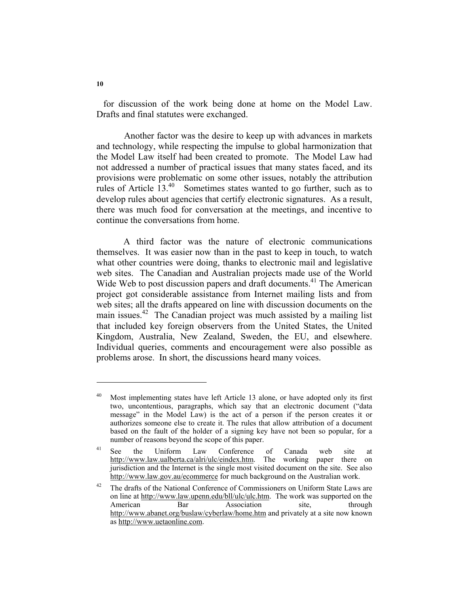for discussion of the work being done at home on the Model Law. Drafts and final statutes were exchanged.

Another factor was the desire to keep up with advances in markets and technology, while respecting the impulse to global harmonization that the Model Law itself had been created to promote. The Model Law had not addressed a number of practical issues that many states faced, and its provisions were problematic on some other issues, notably the attribution rules of Article 13.40 Sometimes states wanted to go further, such as to develop rules about agencies that certify electronic signatures. As a result, there was much food for conversation at the meetings, and incentive to continue the conversations from home.

 A third factor was the nature of electronic communications themselves. It was easier now than in the past to keep in touch, to watch what other countries were doing, thanks to electronic mail and legislative web sites. The Canadian and Australian projects made use of the World Wide Web to post discussion papers and draft documents.<sup>41</sup> The American project got considerable assistance from Internet mailing lists and from web sites; all the drafts appeared on line with discussion documents on the main issues.<sup>42</sup> The Canadian project was much assisted by a mailing list that included key foreign observers from the United States, the United Kingdom, Australia, New Zealand, Sweden, the EU, and elsewhere. Individual queries, comments and encouragement were also possible as problems arose. In short, the discussions heard many voices.

<sup>&</sup>lt;sup>40</sup> Most implementing states have left Article 13 alone, or have adopted only its first two, uncontentious, paragraphs, which say that an electronic document ("data message" in the Model Law) is the act of a person if the person creates it or authorizes someone else to create it. The rules that allow attribution of a document based on the fault of the holder of a signing key have not been so popular, for a number of reasons beyond the scope of this paper.

<sup>41</sup> See the Uniform Law Conference of Canada web site at http://www.law.ualberta.ca/alri/ulc/eindex.htm. The working paper there on jurisdiction and the Internet is the single most visited document on the site. See also http://www.law.gov.au/ecommerce for much background on the Australian work.

<sup>&</sup>lt;sup>42</sup> The drafts of the National Conference of Commissioners on Uniform State Laws are on line at http://www.law.upenn.edu/bll/ulc/ulc.htm. The work was supported on the American Bar Association site, through http://www.abanet.org/buslaw/cyberlaw/home.htm and privately at a site now known as http://www.uetaonline.com.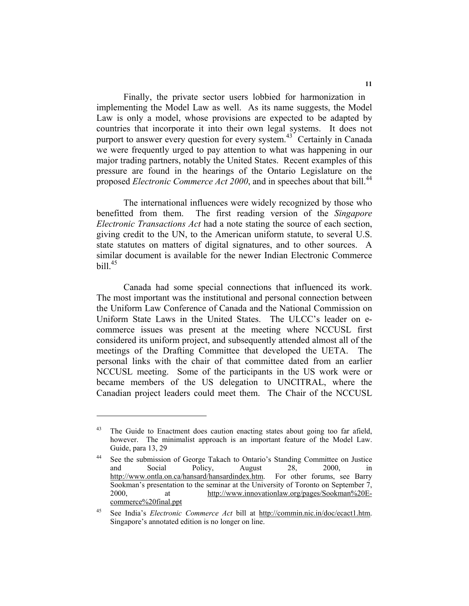Finally, the private sector users lobbied for harmonization in implementing the Model Law as well. As its name suggests, the Model Law is only a model, whose provisions are expected to be adapted by countries that incorporate it into their own legal systems. It does not purport to answer every question for every system.<sup>43</sup> Certainly in Canada we were frequently urged to pay attention to what was happening in our major trading partners, notably the United States. Recent examples of this pressure are found in the hearings of the Ontario Legislature on the proposed *Electronic Commerce Act 2000*, and in speeches about that bill.<sup>44</sup>

 The international influences were widely recognized by those who benefitted from them. The first reading version of the *Singapore Electronic Transactions Act* had a note stating the source of each section, giving credit to the UN, to the American uniform statute, to several U.S. state statutes on matters of digital signatures, and to other sources. A similar document is available for the newer Indian Electronic Commerce bill  $45$ 

 Canada had some special connections that influenced its work. The most important was the institutional and personal connection between the Uniform Law Conference of Canada and the National Commission on Uniform State Laws in the United States. The ULCC's leader on ecommerce issues was present at the meeting where NCCUSL first considered its uniform project, and subsequently attended almost all of the meetings of the Drafting Committee that developed the UETA. The personal links with the chair of that committee dated from an earlier NCCUSL meeting. Some of the participants in the US work were or became members of the US delegation to UNCITRAL, where the Canadian project leaders could meet them. The Chair of the NCCUSL

<sup>&</sup>lt;sup>43</sup> The Guide to Enactment does caution enacting states about going too far afield, however. The minimalist approach is an important feature of the Model Law. Guide, para 13, 29

<sup>&</sup>lt;sup>44</sup> See the submission of George Takach to Ontario's Standing Committee on Justice and Social Policy, August 28, 2000, in http://www.ontla.on.ca/hansard/hansardindex.htm. For other forums, see Barry Sookman's presentation to the seminar at the University of Toronto on September 7, 2000, at http://www.innovationlaw.org/pages/Sookman%20Ecommerce%20final.ppt

<sup>45</sup> See India's *Electronic Commerce Act* bill at http://commin.nic.in/doc/ecact1.htm. Singapore's annotated edition is no longer on line.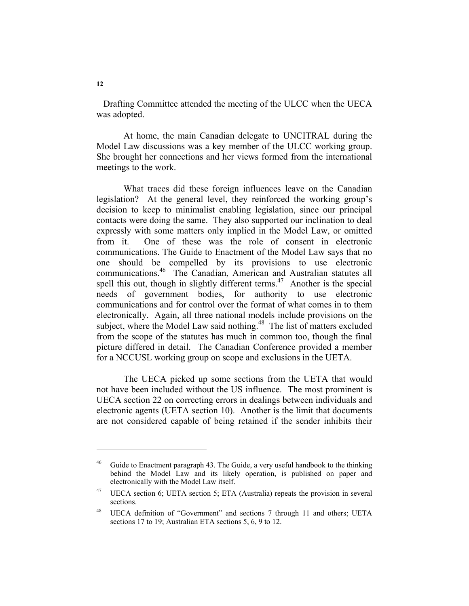Drafting Committee attended the meeting of the ULCC when the UECA was adopted.

 At home, the main Canadian delegate to UNCITRAL during the Model Law discussions was a key member of the ULCC working group. She brought her connections and her views formed from the international meetings to the work.

 What traces did these foreign influences leave on the Canadian legislation? At the general level, they reinforced the working group's decision to keep to minimalist enabling legislation, since our principal contacts were doing the same. They also supported our inclination to deal expressly with some matters only implied in the Model Law, or omitted from it. One of these was the role of consent in electronic communications. The Guide to Enactment of the Model Law says that no one should be compelled by its provisions to use electronic communications.<sup>46</sup> The Canadian, American and Australian statutes all spell this out, though in slightly different terms.<sup> $47$ </sup> Another is the special needs of government bodies, for authority to use electronic communications and for control over the format of what comes in to them electronically. Again, all three national models include provisions on the subject, where the Model Law said nothing.<sup>48</sup> The list of matters excluded from the scope of the statutes has much in common too, though the final picture differed in detail. The Canadian Conference provided a member for a NCCUSL working group on scope and exclusions in the UETA.

 The UECA picked up some sections from the UETA that would not have been included without the US influence. The most prominent is UECA section 22 on correcting errors in dealings between individuals and electronic agents (UETA section 10). Another is the limit that documents are not considered capable of being retained if the sender inhibits their

Guide to Enactment paragraph 43. The Guide, a very useful handbook to the thinking behind the Model Law and its likely operation, is published on paper and electronically with the Model Law itself.

<sup>47</sup> UECA section 6; UETA section 5; ETA (Australia) repeats the provision in several sections.

<sup>48</sup> UECA definition of "Government" and sections 7 through 11 and others; UETA sections 17 to 19; Australian ETA sections 5, 6, 9 to 12.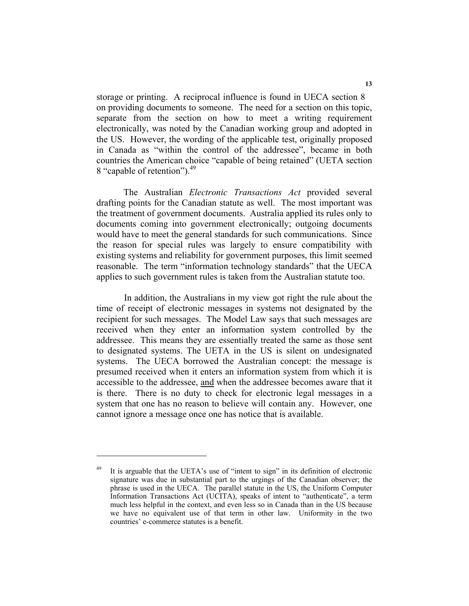storage or printing. A reciprocal influence is found in UECA section 8 on providing documents to someone. The need for a section on this topic, separate from the section on how to meet a writing requirement electronically, was noted by the Canadian working group and adopted in the US. However, the wording of the applicable test, originally proposed in Canada as "within the control of the addressee", became in both countries the American choice "capable of being retained" (UETA section 8 "capable of retention").<sup>49</sup>

 The Australian *Electronic Transactions Act* provided several drafting points for the Canadian statute as well. The most important was the treatment of government documents. Australia applied its rules only to documents coming into government electronically; outgoing documents would have to meet the general standards for such communications. Since the reason for special rules was largely to ensure compatibility with existing systems and reliability for government purposes, this limit seemed reasonable. The term "information technology standards" that the UECA applies to such government rules is taken from the Australian statute too.

In addition, the Australians in my view got right the rule about the time of receipt of electronic messages in systems not designated by the recipient for such messages. The Model Law says that such messages are received when they enter an information system controlled by the addressee. This means they are essentially treated the same as those sent to designated systems. The UETA in the US is silent on undesignated systems. The UECA borrowed the Australian concept: the message is presumed received when it enters an information system from which it is accessible to the addressee, and when the addressee becomes aware that it is there. There is no duty to check for electronic legal messages in a system that one has no reason to believe will contain any. However, one cannot ignore a message once one has notice that is available.

It is arguable that the UETA's use of "intent to sign" in its definition of electronic signature was due in substantial part to the urgings of the Canadian observer; the phrase is used in the UECA. The parallel statute in the US, the Uniform Computer Information Transactions Act (UCITA), speaks of intent to "authenticate", a term much less helpful in the context, and even less so in Canada than in the US because we have no equivalent use of that term in other law. Uniformity in the two countries' e-commerce statutes is a benefit.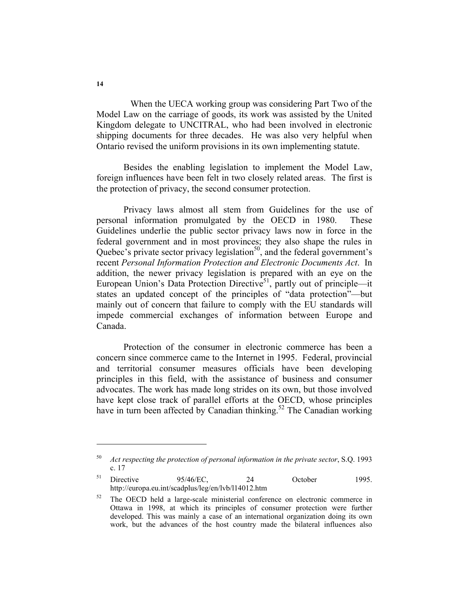When the UECA working group was considering Part Two of the Model Law on the carriage of goods, its work was assisted by the United Kingdom delegate to UNCITRAL, who had been involved in electronic shipping documents for three decades. He was also very helpful when Ontario revised the uniform provisions in its own implementing statute.

 Besides the enabling legislation to implement the Model Law, foreign influences have been felt in two closely related areas. The first is the protection of privacy, the second consumer protection.

 Privacy laws almost all stem from Guidelines for the use of personal information promulgated by the OECD in 1980. These Guidelines underlie the public sector privacy laws now in force in the federal government and in most provinces; they also shape the rules in Quebec's private sector privacy legislation $50$ , and the federal government's recent *Personal Information Protection and Electronic Documents Act*. In addition, the newer privacy legislation is prepared with an eye on the European Union's Data Protection Directive<sup>51</sup>, partly out of principle—it states an updated concept of the principles of "data protection"—but mainly out of concern that failure to comply with the EU standards will impede commercial exchanges of information between Europe and Canada.

 Protection of the consumer in electronic commerce has been a concern since commerce came to the Internet in 1995. Federal, provincial and territorial consumer measures officials have been developing principles in this field, with the assistance of business and consumer advocates. The work has made long strides on its own, but those involved have kept close track of parallel efforts at the OECD, whose principles have in turn been affected by Canadian thinking.<sup>52</sup> The Canadian working

<sup>50</sup> *Act respecting the protection of personal information in the private sector*, S.Q. 1993 c. 17

<sup>&</sup>lt;sup>51</sup> Directive 95/46/EC, 24 October 1995. http://europa.eu.int/scadplus/leg/en/lvb/l14012.htm

<sup>&</sup>lt;sup>52</sup> The OECD held a large-scale ministerial conference on electronic commerce in Ottawa in 1998, at which its principles of consumer protection were further developed. This was mainly a case of an international organization doing its own work, but the advances of the host country made the bilateral influences also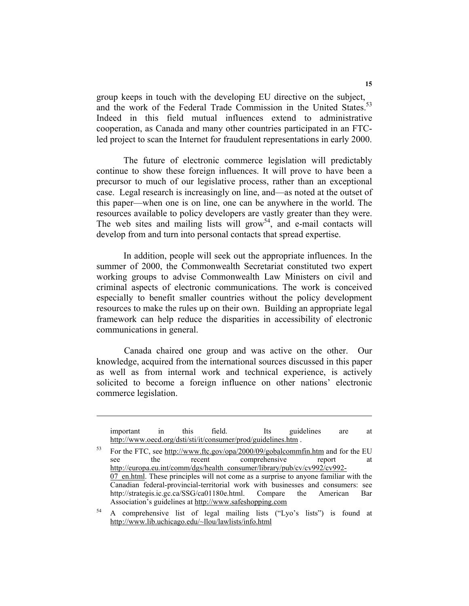group keeps in touch with the developing EU directive on the subject, and the work of the Federal Trade Commission in the United States.<sup>53</sup> Indeed in this field mutual influences extend to administrative cooperation, as Canada and many other countries participated in an FTCled project to scan the Internet for fraudulent representations in early 2000.

 The future of electronic commerce legislation will predictably continue to show these foreign influences. It will prove to have been a precursor to much of our legislative process, rather than an exceptional case. Legal research is increasingly on line, and—as noted at the outset of this paper—when one is on line, one can be anywhere in the world. The resources available to policy developers are vastly greater than they were. The web sites and mailing lists will grow<sup>54</sup>, and e-mail contacts will develop from and turn into personal contacts that spread expertise.

 In addition, people will seek out the appropriate influences. In the summer of 2000, the Commonwealth Secretariat constituted two expert working groups to advise Commonwealth Law Ministers on civil and criminal aspects of electronic communications. The work is conceived especially to benefit smaller countries without the policy development resources to make the rules up on their own. Building an appropriate legal framework can help reduce the disparities in accessibility of electronic communications in general.

Canada chaired one group and was active on the other. Our knowledge, acquired from the international sources discussed in this paper as well as from internal work and technical experience, is actively solicited to become a foreign influence on other nations' electronic commerce legislation.

important in this field. Its guidelines are at http://www.oecd.org/dsti/sti/it/consumer/prod/guidelines.htm .

53 For the FTC, see http://www.ftc.gov/opa/2000/09/gobalcommfin.htm and for the EU see the recent comprehensive report at http://europa.eu.int/comm/dgs/health\_consumer/library/pub/cv/cv992/cv992-07 en.html. These principles will not come as a surprise to anyone familiar with the Canadian federal-provincial-territorial work with businesses and consumers: see http://strategis.ic.gc.ca/SSG/ca01180e.html. Compare the American Bar Association's guidelines at http://www.safeshopping.com

54 A comprehensive list of legal mailing lists ("Lyo's lists") is found at http://www.lib.uchicago.edu/~llou/lawlists/info.html